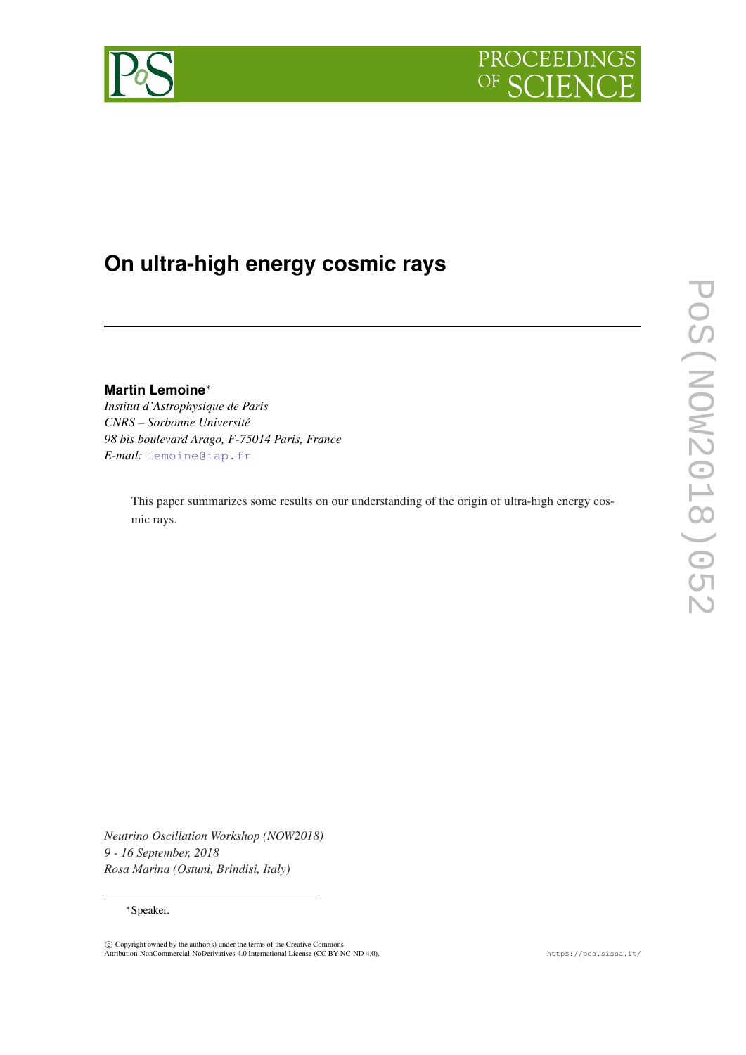

# **On ultra-high energy cosmic rays**

**Martin Lemoine**<sup>∗</sup>

*Institut d'Astrophysique de Paris CNRS – Sorbonne Université 98 bis boulevard Arago, F-75014 Paris, France E-mail:* [lemoine@iap.fr](mailto:lemoine@iap.fr)

> This paper summarizes some results on our understanding of the origin of ultra-high energy cosmic rays.

*Neutrino Oscillation Workshop (NOW2018) 9 - 16 September, 2018 Rosa Marina (Ostuni, Brindisi, Italy)*

<sup>∗</sup>Speaker.

c Copyright owned by the author(s) under the terms of the Creative Commons Attribution-NonCommercial-NoDerivatives 4.0 International License (CC BY-NC-ND 4.0). https://pos.sissa.it/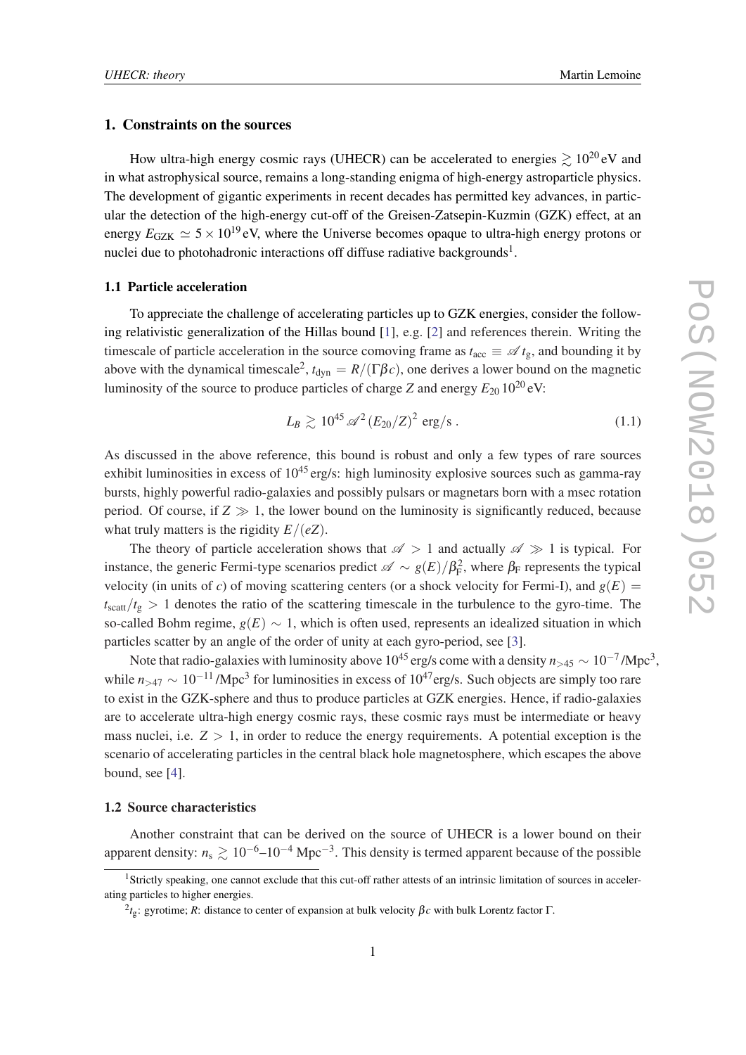# 1. Constraints on the sources

How ultra-high energy cosmic rays (UHECR) can be accelerated to energies  $\geq 10^{20}$  eV and in what astrophysical source, remains a long-standing enigma of high-energy astroparticle physics. The development of gigantic experiments in recent decades has permitted key advances, in particular the detection of the high-energy cut-off of the Greisen-Zatsepin-Kuzmin (GZK) effect, at an energy  $E_{GZK} \simeq 5 \times 10^{19}$  eV, where the Universe becomes opaque to ultra-high energy protons or nuclei due to photohadronic interactions off diffuse radiative backgrounds<sup>1</sup>.

## 1.1 Particle acceleration

To appreciate the challenge of accelerating particles up to GZK energies, consider the following relativistic generalization of the Hillas bound [[1](#page-3-0)], e.g. [\[2\]](#page-3-0) and references therein. Writing the timescale of particle acceleration in the source comoving frame as  $t_{\text{acc}} \equiv \mathscr{A} t_{\text{g}}$ , and bounding it by above with the dynamical timescale<sup>2</sup>,  $t_{dyn} = R/(\Gamma \beta c)$ , one derives a lower bound on the magnetic luminosity of the source to produce particles of charge *Z* and energy  $E_{20} 10^{20}$  eV:

$$
L_B \gtrsim 10^{45} \, \mathscr{A}^2 \left( E_{20}/Z \right)^2 \, \text{erg/s} \,. \tag{1.1}
$$

As discussed in the above reference, this bound is robust and only a few types of rare sources exhibit luminosities in excess of  $10^{45}$  erg/s: high luminosity explosive sources such as gamma-ray bursts, highly powerful radio-galaxies and possibly pulsars or magnetars born with a msec rotation period. Of course, if  $Z \gg 1$ , the lower bound on the luminosity is significantly reduced, because what truly matters is the rigidity *E*/(*eZ*).

The theory of particle acceleration shows that  $\mathscr{A} > 1$  and actually  $\mathscr{A} \gg 1$  is typical. For instance, the generic Fermi-type scenarios predict  $\mathscr{A} \sim g(E)/\beta_{\rm F}^2$ , where  $\beta_{\rm F}$  represents the typical velocity (in units of *c*) of moving scattering centers (or a shock velocity for Fermi-I), and  $g(E)$  =  $t_{scatt}/t_{\rm g} > 1$  denotes the ratio of the scattering timescale in the turbulence to the gyro-time. The so-called Bohm regime,  $g(E) \sim 1$ , which is often used, represents an idealized situation in which particles scatter by an angle of the order of unity at each gyro-period, see [\[3\]](#page-3-0).

Note that radio-galaxies with luminosity above  $10^{45}$  erg/s come with a density  $n_{>45} \sim 10^{-7}$  /Mpc<sup>3</sup>, while  $n_{>47} \sim 10^{-11}$  /Mpc<sup>3</sup> for luminosities in excess of 10<sup>47</sup>erg/s. Such objects are simply too rare to exist in the GZK-sphere and thus to produce particles at GZK energies. Hence, if radio-galaxies are to accelerate ultra-high energy cosmic rays, these cosmic rays must be intermediate or heavy mass nuclei, i.e.  $Z > 1$ , in order to reduce the energy requirements. A potential exception is the scenario of accelerating particles in the central black hole magnetosphere, which escapes the above bound, see [\[4\]](#page-3-0).

### 1.2 Source characteristics

Another constraint that can be derived on the source of UHECR is a lower bound on their apparent density:  $n_s \gtrsim 10^{-6}$ –10<sup>-4</sup> Mpc<sup>-3</sup>. This density is termed apparent because of the possible

<sup>&</sup>lt;sup>1</sup>Strictly speaking, one cannot exclude that this cut-off rather attests of an intrinsic limitation of sources in accelerating particles to higher energies.

<sup>2</sup> *t*g: gyrotime; *R*: distance to center of expansion at bulk velocity β*c* with bulk Lorentz factor Γ.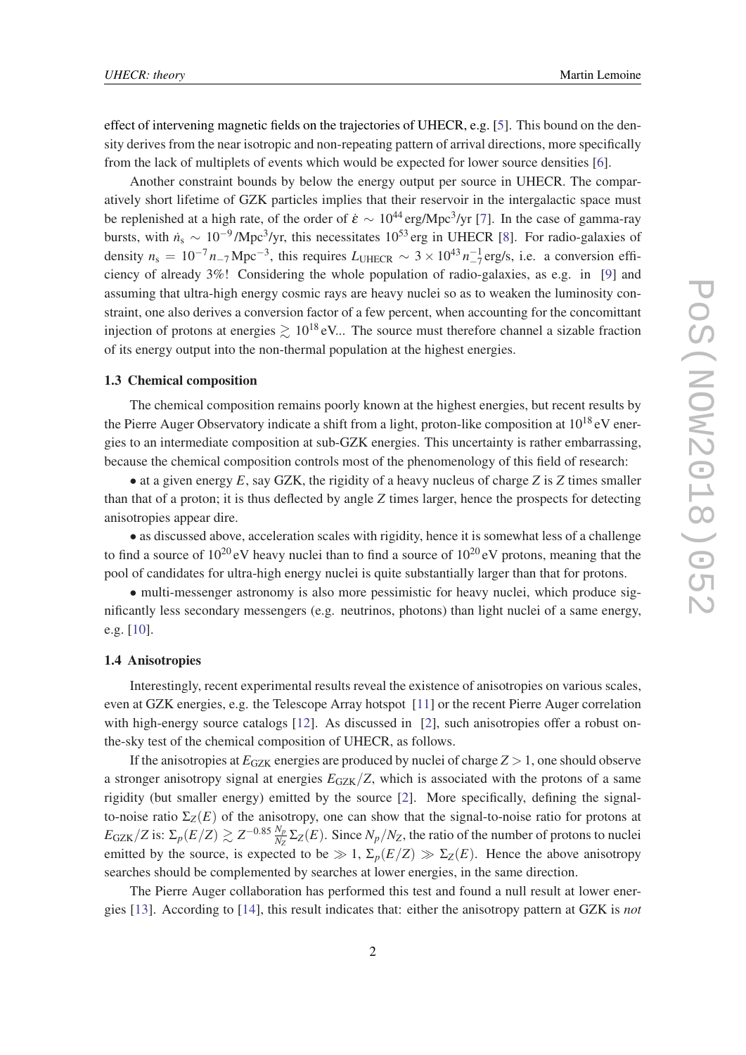effect of intervening magnetic fields on the trajectories of UHECR, e.g. [\[5\]](#page-3-0). This bound on the density derives from the near isotropic and non-repeating pattern of arrival directions, more specifically from the lack of multiplets of events which would be expected for lower source densities [[6\]](#page-3-0).

Another constraint bounds by below the energy output per source in UHECR. The comparatively short lifetime of GZK particles implies that their reservoir in the intergalactic space must be replenished at a high rate, of the order of  $\dot{\varepsilon} \sim 10^{44} \text{ erg/Mpc}^3/\text{yr}$  [\[7\]](#page-3-0). In the case of gamma-ray bursts, with  $\dot{n}_s \sim 10^{-9}$ /Mpc<sup>3</sup>/yr, this necessitates 10<sup>53</sup> erg in UHECR [\[8\]](#page-3-0). For radio-galaxies of density  $n_s = 10^{-7} n_{-7} \text{Mpc}^{-3}$ , this requires  $L_{\text{UHECR}} \sim 3 \times 10^{43} n_{-7}^{-1} \text{erg/s}$ , i.e. a conversion efficiency of already 3%! Considering the whole population of radio-galaxies, as e.g. in [\[9\]](#page-3-0) and assuming that ultra-high energy cosmic rays are heavy nuclei so as to weaken the luminosity constraint, one also derives a conversion factor of a few percent, when accounting for the concomittant injection of protons at energies  $\geq 10^{18}$  eV... The source must therefore channel a sizable fraction of its energy output into the non-thermal population at the highest energies.

# 1.3 Chemical composition

The chemical composition remains poorly known at the highest energies, but recent results by the Pierre Auger Observatory indicate a shift from a light, proton-like composition at 10<sup>18</sup> eV energies to an intermediate composition at sub-GZK energies. This uncertainty is rather embarrassing, because the chemical composition controls most of the phenomenology of this field of research:

• at a given energy *E*, say GZK, the rigidity of a heavy nucleus of charge *Z* is *Z* times smaller than that of a proton; it is thus deflected by angle *Z* times larger, hence the prospects for detecting anisotropies appear dire.

• as discussed above, acceleration scales with rigidity, hence it is somewhat less of a challenge to find a source of  $10^{20}$  eV heavy nuclei than to find a source of  $10^{20}$  eV protons, meaning that the pool of candidates for ultra-high energy nuclei is quite substantially larger than that for protons.

• multi-messenger astronomy is also more pessimistic for heavy nuclei, which produce significantly less secondary messengers (e.g. neutrinos, photons) than light nuclei of a same energy, e.g. [\[10](#page-3-0)].

#### 1.4 Anisotropies

Interestingly, recent experimental results reveal the existence of anisotropies on various scales, even at GZK energies, e.g. the Telescope Array hotspot [[11](#page-3-0)] or the recent Pierre Auger correlation with high-energy source catalogs [[12\]](#page-3-0). As discussed in [\[2\]](#page-3-0), such anisotropies offer a robust onthe-sky test of the chemical composition of UHECR, as follows.

If the anisotropies at  $E_{GZK}$  energies are produced by nuclei of charge  $Z > 1$ , one should observe a stronger anisotropy signal at energies  $E_{GZK}/Z$ , which is associated with the protons of a same rigidity (but smaller energy) emitted by the source [[2](#page-3-0)]. More specifically, defining the signalto-noise ratio  $\Sigma_Z(E)$  of the anisotropy, one can show that the signal-to-noise ratio for protons at  $E_{\text{GZK}}/Z$  is:  $\Sigma_p(E/Z) \gtrsim Z^{-0.85} \frac{N_p}{N_Z}$  $\frac{N_p}{N_Z} \Sigma_Z(E)$ . Since  $N_p/N_Z$ , the ratio of the number of protons to nuclei emitted by the source, is expected to be  $\gg 1$ ,  $\Sigma_p(E/Z) \gg \Sigma_Z(E)$ . Hence the above anisotropy searches should be complemented by searches at lower energies, in the same direction.

The Pierre Auger collaboration has performed this test and found a null result at lower energies [[13](#page-3-0)]. According to [\[14](#page-3-0)], this result indicates that: either the anisotropy pattern at GZK is *not*